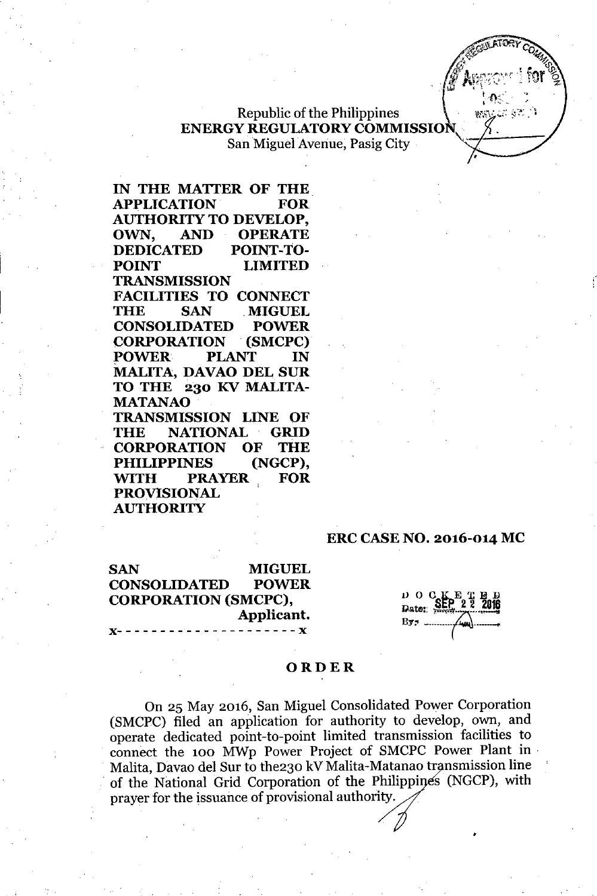

# Republic of the Philippines ENERGY REGULATORYCOMMISSION, San Miguel Avenue, Pasig City ,

IN THE MATTER OF THE APPLICATION FOR AUTHORITY TO DEVELOP, OWN, AND OPERATE DEDICATED POINT.TO-POINT LIMITED **TRANSMISSION** FACILITIES TO CONNECT THE SAN MIGUEL CONSOLIDATED POWER CORPORATION .(SMCPC) POWER PLANT IN MALITA, DAVAO DEL SUR TO THE 230 KV MALITA-MATANAO TRANSMISSION LINE OF THE NATIONAL GRID CORPORATION OF THE PHILIPPINES (NGCP), WITH PRAYER FOR PROVISIONAL **AUTHORITY** 

#### ERC CASENO. 2016-014 MC

SAN MIGUEL CONSOLIDATED POWER CORPORATION (SMCPC), Applicant.<br>x-------------------------

 $D$  O  $C$ Date:

•

#### ORDER

On 25 May 2016, San Miguel Consolidated Power Corporation (SMCPC) filed an application for authority to develop, own, and operate dedicated point-to-point limited transmission facilities to connect the 100 MWp Power Project of SMCPC Power Plant in Malita, Davao del Sur to the230 kV Malita-Matanao transmission line of the National Grid Corporation of the Philippines (NGCP), with prayer for the issuance of provisional authority,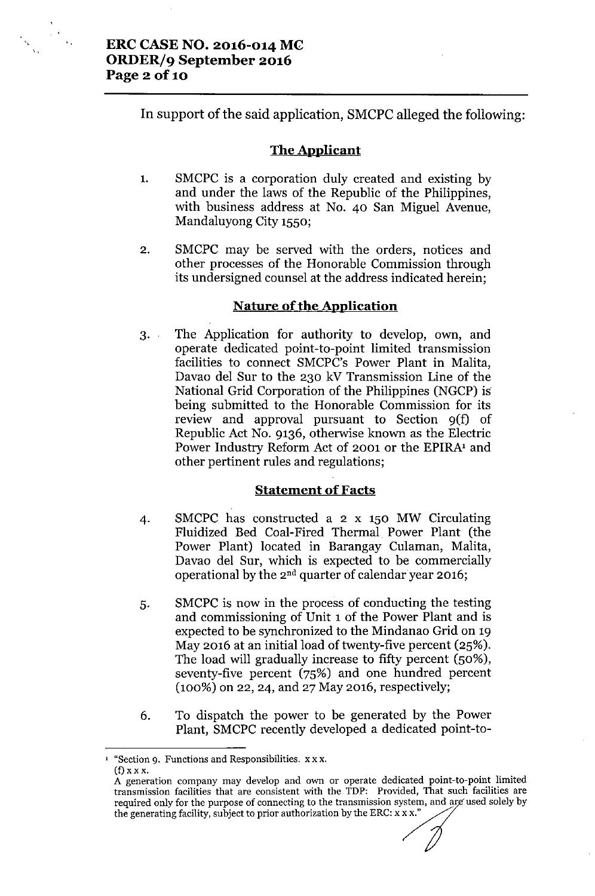$\frac{1}{2} \sum_{i=1}^{n} \frac{1}{2} \sum_{j=1}^{n} \frac{1}{2} \sum_{j=1}^{n} \frac{1}{2} \sum_{j=1}^{n} \frac{1}{2} \sum_{j=1}^{n} \frac{1}{2} \sum_{j=1}^{n} \frac{1}{2} \sum_{j=1}^{n} \frac{1}{2} \sum_{j=1}^{n} \frac{1}{2} \sum_{j=1}^{n} \frac{1}{2} \sum_{j=1}^{n} \frac{1}{2} \sum_{j=1}^{n} \frac{1}{2} \sum_{j=1}^{n} \frac{1}{2} \sum_{j=1}^{n$ 

**In** support of the said application, SMCPC alleged the following:

### **The Applicant**

- 1. SMCPC is a corporation duly created and existing by and under the laws of the Republic of the Philippines, with business address at No. 40 San Miguel Avenue, Mandaluyong City 1550;
- 2. SMCPC may be served with the orders, notices and other processes of the Honorable Commission through its undersigned counsel at the address indicated herein;

# **Nature** of the **Application**

3. The Application for authority to develop, own, and operate dedicated point-to-point limited transmission facilities to connect SMCPC's Power Plant in Malita, Davao del Sur to the 230 kV Transmission Line of the National Grid Corporation of the Philippines (NGCP) is being submitted to the Honorable Commission for its review and approval pursuant to Section 9(f) of Republic Act No. 9136, otherwise known as the Electric Power Industry Reform Act of 2001 or the EPIRA<sup>1</sup> and other pertinent rules and regulations;

### **Statement of Facts**

- 4. SMCPC has constructed a 2 x 150 MW Circulating Fluidized Bed Coal-Fired Thermal Power Plant (the Power Plant) located in Barangay Culaman, Malita, Davao del Sur, which is expected to be commercially operational by the 2nd quarter of calendar year 2016;
- 5. SMCPC is now in the process of conducting the testing and commissioning of Unit 1 of the Power Plant and is expected to be synchronized to the Mindanao Grid on 19 May 2016 at an initial load of twenty-five percent (25%). The load will gradually increase to fifty percent (50%), seventy-five percent (75%) and one hundred percent (100%) on 22, 24, and 27 May 2016, respectively;
- 6. To dispatch the power to be generated by the Power Plant, SMCPC recently developed a dedicated point-to-

<sup>•</sup> "Section 9. Functions and Responsibilities. x x x.  $(f)$  x x x.

A generation company may develop and own or operate dedicated point-to-point limited transmission facilities that are consistent with the TDP: Provided, That such facilities are required only for the purpose of connecting to the transmission system, and are used solely by the generating facility, subject to prior authorization by the ERC:  $x \times x$ . A generation company may develop and own or operate dedicated point-to transmission facilities that are consistent with the TDP: Provided, That such required only for the purpose of connecting to the transmission system,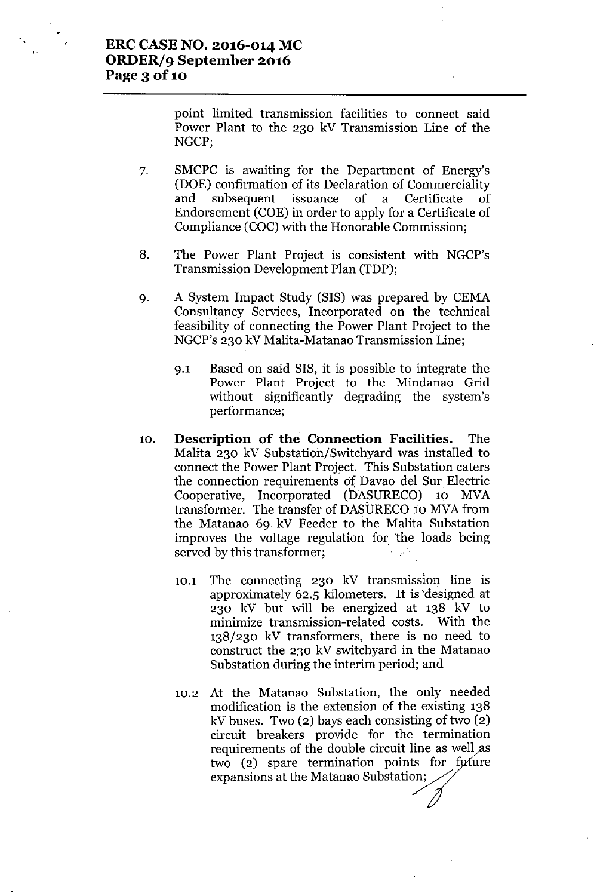point limited transmission facilities to connect said Power Plant to the 230 kV Transmission Line of the NGCP;

- 7. SMCPC is awaiting for the Department of Energy's (DOE) confirmation of its Declaration of Commerciality and subsequent issuance of a Certificate of Endorsement (COE) in order to apply for a Certificate of Compliance (COC) with the Honorable Commission;
- 8. The Power Plant Project is consistent with NGCP's Transmission Development Plan (TDP);
- 9. A System Impact Study (SIS) was prepared by CEMA Consultancy Services, Incorporated on the technical feasibility of connecting the Power Plant Project to the NGCP's 230 kV Malita-Matanao Transmission Line;
	- 9.1 Based on said SIS, it is possible to integrate the Power Plant Project to the Mindanao Grid without significantly degrading the system's performance;
- 10. **Description of the Connection Facilities.** The Malita 230 kV Substation/Switchyard was installed to connect the Power Plant Project. This Substation caters the connection requirements of Davao del Sur Electric Cooperative, Incorporated (bASURECO) 10 MVA transformer. The transfer of DASURECO 10 MVA from the Matanao 69. kV Feeder to the Malita Substation improves the voltage regulation for the loads being served by this transformer;
	- 10.1 The connecting 230 kV transmission line is approximately 62.5 kilometers. It is'designed at 230 kV but will be energized at 138 kV to minimize transmission-related costs. With the 138/230 kV transformers, there is no need to construct the 230 kV switchyard in the Matanao Substation during the interim period; and
	- 10.2 At the Matanao Substation, the only needed modification is the extension of the existing 138 kV buses. Two (2) bays each consisting of two (2) circuit breakers provide for the termination requirements of the double circuit line as well as two (2) spare termination points for future expansions at the Matanao Substation;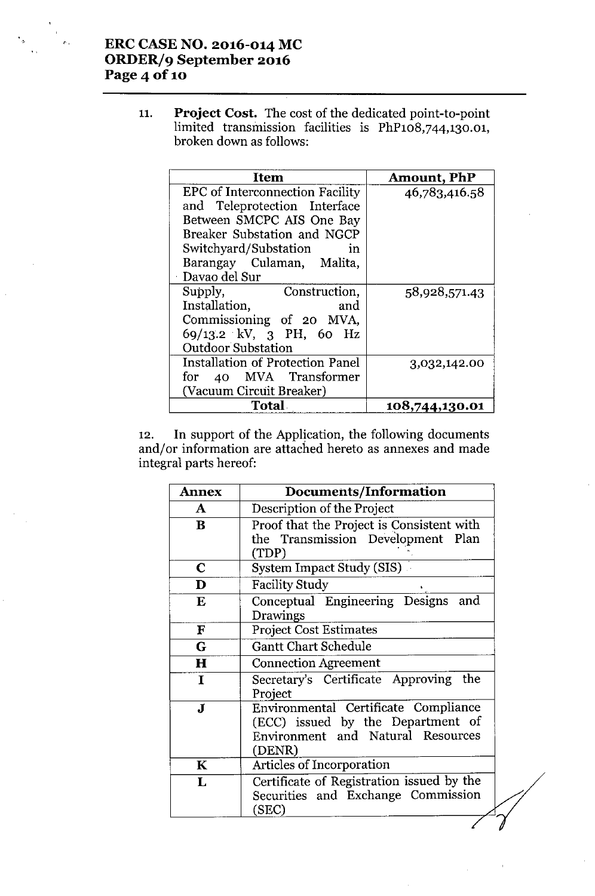# **ERC CASE NO. 2016-014 MC ORDER/9 September 2016 Page40f10**

11. **Project Cost.** The cost of the dedicated point-to-point limited transmission facilities is PhP108,744,130.0 broken down as follows:

| Item                                                                                                                                                                                                                      | <b>Amount, PhP</b> |
|---------------------------------------------------------------------------------------------------------------------------------------------------------------------------------------------------------------------------|--------------------|
| <b>EPC</b> of Interconnection Facility<br>and Teleprotection Interface<br>Between SMCPC AIS One Bay<br>Breaker Substation and NGCP<br>Switchyard/Substation<br>$\mathbf{m}$<br>Barangay Culaman, Malita,<br>Davao del Sur | 46,783,416.58      |
| Supply,<br>Construction,<br>Installation,<br>and<br>Commissioning of 20 MVA,<br>69/13.2 kV, 3 PH, 60 Hz<br><b>Outdoor Substation</b>                                                                                      | 58,928,571.43      |
| <b>Installation of Protection Panel</b><br>for 40 MVA Transformer<br>(Vacuum Circuit Breaker)                                                                                                                             | 3,032,142.00       |
| <b>Total</b>                                                                                                                                                                                                              | 108,744,130.01     |

12. **In** support of the Application, the following documents and/ or information are attached hereto as annexes and made integral parts hereof:

| <b>Annex</b> | <b>Documents/Information</b>                                                                                             |  |
|--------------|--------------------------------------------------------------------------------------------------------------------------|--|
| A            | Description of the Project                                                                                               |  |
| $\bf{B}$     | Proof that the Project is Consistent with<br>the Transmission Development Plan<br>(TDP)                                  |  |
| $\mathbf C$  | System Impact Study (SIS)                                                                                                |  |
| D            | <b>Facility Study</b>                                                                                                    |  |
| E            | Conceptual Engineering Designs<br>and<br>Drawings                                                                        |  |
| F            | <b>Project Cost Estimates</b>                                                                                            |  |
| G            | <b>Gantt Chart Schedule</b>                                                                                              |  |
| $\bf H$      | <b>Connection Agreement</b>                                                                                              |  |
| $\mathbf I$  | Secretary's Certificate Approving the<br>Project                                                                         |  |
| $\bf J$      | Environmental Certificate Compliance<br>(ECC) issued by the Department of<br>Environment and Natural Resources<br>(DENR) |  |
| $\mathbf K$  | Articles of Incorporation                                                                                                |  |
| L            | Certificate of Registration issued by the<br>Securities and Exchange Commission<br>(SEC)                                 |  |
|              |                                                                                                                          |  |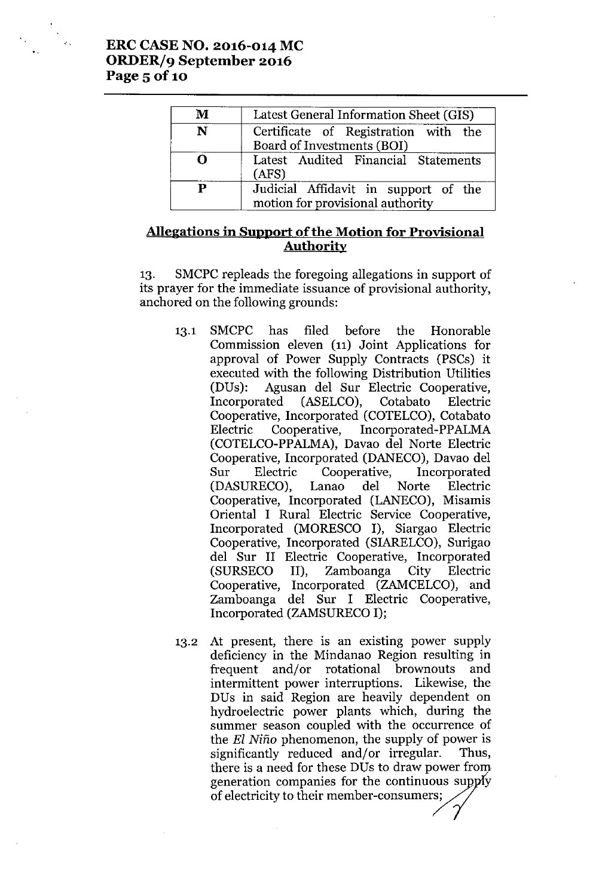"

| M        | Latest General Information Sheet (GIS)                                   |
|----------|--------------------------------------------------------------------------|
| N        | Certificate of Registration with the<br>Board of Investments (BOI)       |
| <u>റ</u> | Latest Audited Financial Statements<br>(ATS)                             |
| P        | Judicial Affidavit in support of the<br>motion for provisional authority |

# **Allegations in Support ofthe Motion for Provisional Authority**

13. SMCPC repleads the foregoing allegations in support of its prayer for the immediate issuance of provisional authority, anchored on the following grounds:

- 13.1 SMCPC has filed before the Honorable Commission eleven (11) Joint Applications for approval of Power Supply Contracts (PSCs) it executed with the following Distribution Utilities (DUs): Agusan del Sur Electric Cooperative, Incorporated (ASELCO), Cotabato Electric Cooperative, Incorporated (COTELCO), Cotabato Electric Cooperative, Incorporated-PPALMA (COTELCO-PPALMA),Davao del Norte Electric Cooperative, Incorporated (DANECO), Davao del Sur Electric Cooperative, Incorporated<br>(DASURECO). Lanao del Norte Electric (DASURECO), Lanao del Norte Cooperative, Incorporated (LANECO), Misamis Oriental I Rural Electric Service Cooperative, Incorporated (MORESCO I), Siargao Electric Cooperative, Incorporated (SIARELCO), Surigao del Sur II Electric Cooperative, Incorporated (SURSECO II), Zamboanga City Electric Cooperative, Incorporated (ZAMCELCO), and Zamboanga del Sur I Electric Cooperative, Incorporated (ZAMSURECOI);
- 13.2 At present, there is an existing power supply deficiency in the Mindanao Region resulting in frequent and/or rotational brownouts and intermittent power interruptions. Likewise, the DUs in said Region are heavily dependent on hydroelectric power plants which, during the summer season coupled with the occurrence of the *EI Nino* phenomenon, the supply of power is significantly reduced and/or irregular. Thus, there is a need for these DUs to draw power from significantly reduced and/or irregular. Thus,<br>there is a need for these DUs to draw power from<br>generation companies for the continuous supply<br>of electricity to their member-consumers: generation companies for the continuous supply<br>of electricity to their member-consumers;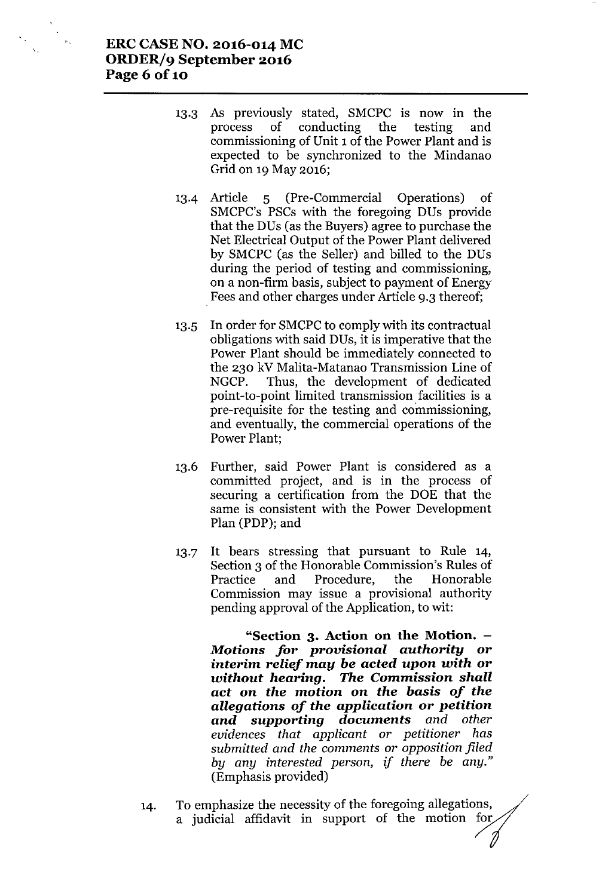- 13.3 As previously stated, SMCPC is now in the process of conducting the testing and commissioning of Unit 1 of the Power Plant and is expected to be synchronized to the Mindanao Grid on 19 May 2016;
- 13-4 Article 5 (Pre-Commercial Operations) of SMCPC's PSCs with the foregoing DUs provide that the DUs(as the Buyers) agree to purchase the Net Electrical Output of the Power Plant delivered by SMCPC (as the Seller) and billed to the DUs during the period of testing and commissioning, on a non-firm basis, subject to payment of Energy Fees and other charges under Article 9.3 thereof;
- 13.5 In order for SMCPC to comply with its contractual obligations with said DUs, it is imperative that the Power Plant should be immediately connected to the 230 kV Malita-Matanao Transmission Line of NGCP. Thus, the development of dedicated point-to-point limited transmission facilities is a pre-requisite for the testing and commissioning, and eventually, the commercial operations of the Power Plant;
- 13.6 Further, said Power Plant is considered as a committed project, and is in the process of securing a certification from the DOE that the same is consistent with the Power Development Plan (PDP); and
- 13.7 It bears stressing that pursuant to Rule 14, Section 3 of the Honorable Commission's Rules of Practice and Procedure, the Honorable Commission may issue a provisional authority pending approval of the Application, to wit:

**"Section 3. Action on the Motion.** *Motions for provisional authority* **or** *interim relief may be acted upon with* **or** *without hearing. The* **Commission** *shall act* **on** *the motion* **on** *the basis of the allegations of the application* **or** *petition and supporting documents and other evidences that applicant or petitioner has submitted and the comments or opposition filed by any interested person, if there be any."* (Emphasis provided)

- 14. To emphasize the necessity of the foregoing allegations, a judicial affidavit in support of the motion for
	-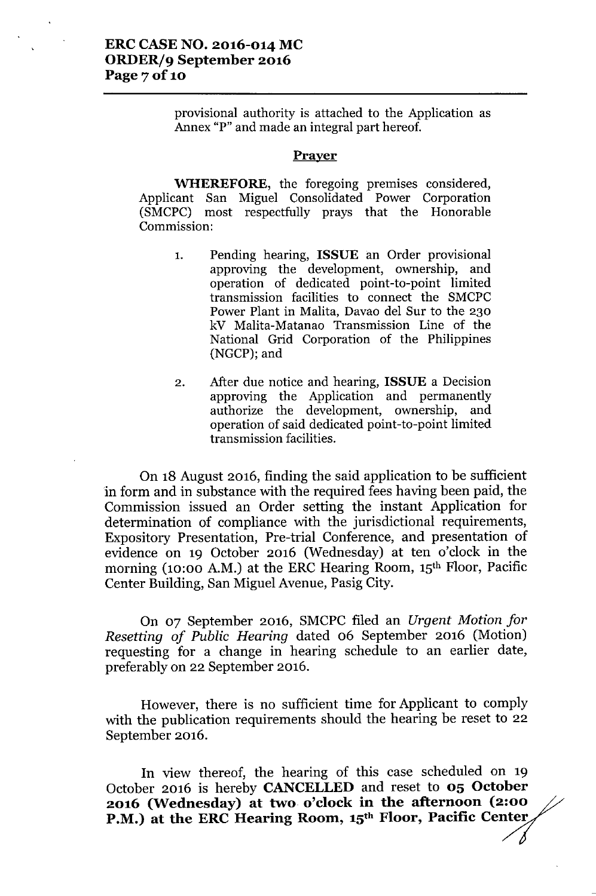provisional authority is attached to the Application as Annex "P" and made an integral part hereof.

#### Prayer

WHEREFORE, the foregoing premises considered, Applicant San Miguel Consolidated Power Corporation (SMCPC) most respectfully prays that the Honorable Commission:

- 1. Pending hearing, ISSUE an Order provisional approving the development, ownership, and operation of dedicated point-to-point limited transmission facilities to connect the SMCPC Power Plant in Malita, Davao del Sur to the 230 kV Malita-Matanao Transmission Line of the National Grid Corporation of the Philippines (NGCP); and
- 2. After due notice and hearing, ISSUE a Decision approving the Application and permanently authorize the development, ownership, and operation of said dedicated point-to-point limited transmission facilities.

On 18 August 2016, finding the said application to be sufficient in form and in substance with the required fees having been paid, the Commission issued an Order setting the instant Application for determination of compliance with the jurisdictional requirements, Expository Presentation, Pre-trial Conference, and presentation of evidence on 19 October 2016 (Wednesday) at ten o'clock in the morning (10:00 A.M.) at the ERC Hearing Room, 15<sup>th</sup> Floor, Pacific Center Building, San Miguel Avenue, Pasig City.

On 07 September 2016, SMCPC filed an *Urgent Motion for Resetting of Public Hearing* dated 06 September 2016 (Motion) requesting for a change in hearing schedule to an earlier date, preferably on 22 September 2016.

However, there is no sufficient time for Applicant to comply with the publication requirements should the hearing be reset to 22 September 2016.

In view thereof, the hearing of this case scheduled on 19 October 2016 is hereby CANCELLED and reset to 05 October 2016 (Wednesday) at two o'clock in the afternoon (2:00 P.M.) at the ERC Hearing Room, 15<sup>th</sup> Floor, Pacific Center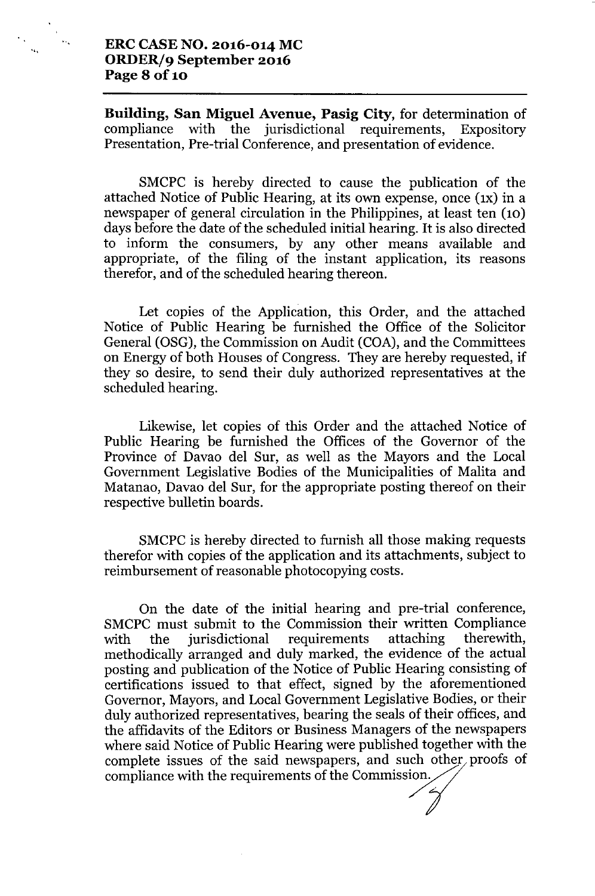**Building, San Miguel Avenue, Pasig City,** for determination of compliance with the jurisdictional requirements, Expository Presentation, Pre-trial Conference, and presentation of evidence.

SMCPC is hereby directed to cause the publication of the attached Notice of Public Hearing, at its own expense, once (IX) in a newspaper of general circulation in the Philippines, at least ten (10) days before the date of the scheduled initial hearing. It is also directed to inform the consumers, by any other means available and appropriate, of the filing of the instant application, its reasons therefor, and of the scheduled hearing thereon.

Let copies of the Application, this Order, and the attached Notice of Public Hearing be furnished the Office of the Solicitor General (OSG), the Commission on Audit (COA), and the Committees on Energy of both Houses of Congress. They are hereby requested, if they so desire, to send their duly authorized representatives at the scheduled hearing.

Likewise, let copies of this Order and the attached Notice of Public Hearing be furnished the Offices of the Governor of the Province of Davao del Sur, as well as the Mayors and the Local Government Legislative Bodies of the Municipalities of Malita and Matanao, Davao del Sur, for the appropriate posting thereof on their respective bulletin boards.

SMCPC is hereby directed to furnish all those making requests therefor with copies of the application and its attachments, subject to reimbursement of reasonable photocopying costs.

On the date of the initial hearing and pre-trial conference, SMCPC must submit to the Commission their written Compliance with the jurisdictional requirements attaching therewith, methodically arranged and duly marked, the evidence of the actual posting and publication of the Notice of Public Hearing consisting of certifications issued to that effect, signed by the aforementioned Governor, Mayors, and Local Government Legislative Bodies, or their duly authorized representatives, bearing the seals of their offices, and the affidavits of the Editors or Business Managers of the newspapers where said Notice of Public Hearing were published together with the complete issues of the said newspapers, and such other proofs of compliance with the requirements of the Commission.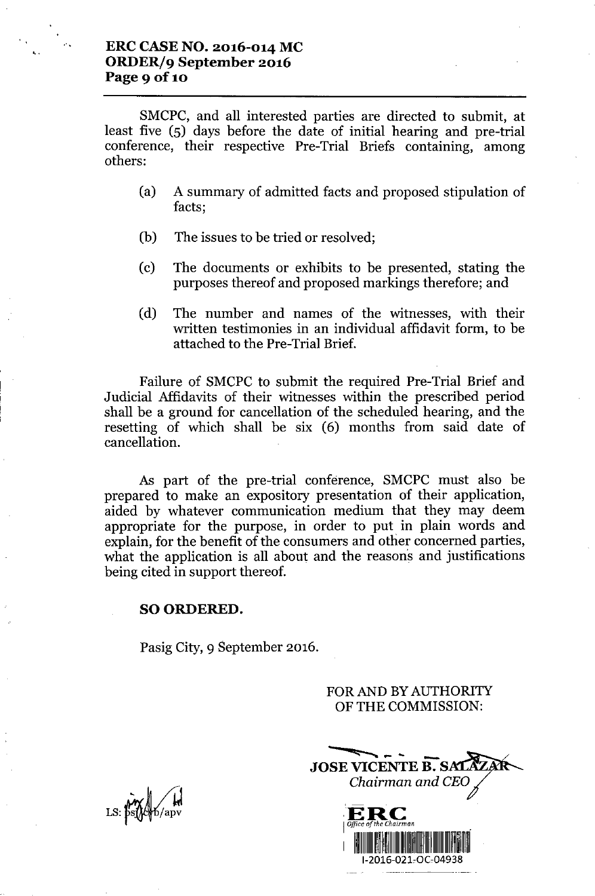,,

SMCPC, and all interested parties are directed to submit, at least five (5) days before the date of initial hearing and pre-trial conference, their respective Pre-Trial Briefs containing, among others:

- (a) A summary of admitted facts and proposed stipulation of facts;
- (b) The issues to be tried or resolved;
- (c) The documents or exhibits to be presented, stating the purposes thereof and proposed markings therefore; and
- (d) The number and names of the witnesses, with their written testimonies in an individual affidavit form, to be attached to the Pre-Trial Brief.

Failure of SMCPC to submit the required Pre-Trial Brief and Judicial Affidavits of their witnesses within the prescribed period shall be a ground for cancellation of the scheduled hearing, and the resetting of which shall be six (6) months from said date of cancellation.

As part of the pre-trial conference, SMCPC must also be prepared to make an expository presentation of their application, aided by whatever communication medium that they may deem appropriate for the purpose, in order to put in plain words and explain, for the benefit of the consumers and other concerned parties, what the application is all about and the reasons and justifications being cited in support thereof.

#### SO ORDERED.

Pasig City, 9 September 2016.

FOR AND BY AUTHORITY OFTHE COMMISSION:



*.&hv~*/Y LS: þs**{∤**¢∳b/apv